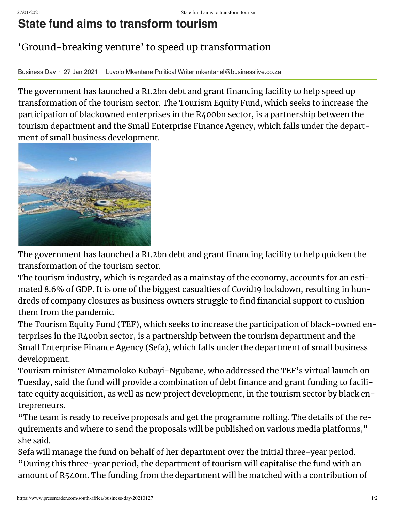## **State fund aims to transform tourism**

## 'Ground-breaking venture' to speed up transformation

Business Day · 27 Jan 2021 · Luyolo Mkentane Political Writer mkentanel@businesslive.co.za

The government has launched a R1.2bn debt and grant financing facility to help speed up transformation of the tourism sector. The Tourism Equity Fund, which seeks to increase the participation of blackowned enterprises in the R400bn sector, is a partnership between the tourism department and the Small Enterprise Finance Agency, which falls under the department of small business development.



The government has launched a R1.2bn debt and grant financing facility to help quicken the transformation of the tourism sector.

The tourism industry, which is regarded as a mainstay of the economy, accounts for an estimated 8.6% of GDP. It is one of the biggest casualties of Covid19 lockdown, resulting in hundreds of company closures as business owners struggle to find financial support to cushion them from the pandemic.

The Tourism Equity Fund (TEF), which seeks to increase the participation of black-owned enterprises in the R400bn sector, is a partnership between the tourism department and the Small Enterprise Finance Agency (Sefa), which falls under the department of small business development.

Tourism minister Mmamoloko Kubayi-Ngubane, who addressed the TEF's virtual launch on Tuesday, said the fund will provide a combination of debt finance and grant funding to facilitate equity acquisition, as well as new project development, in the tourism sector by black entrepreneurs.

"The team is ready to receive proposals and get the programme rolling. The details of the requirements and where to send the proposals will be published on various media platforms, " she said.

Sefa will manage the fund on behalf of her department over the initial three-year period. "During this three-year period, the department of tourism will capitalise the fund with an amount of R540m. The funding from the department will be matched with a contribution of